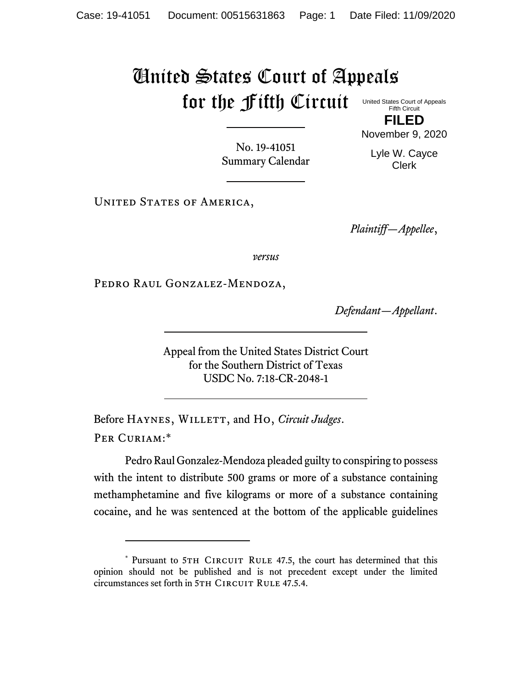## United States Court of Appeals for the Fifth Circuit

United States Court of Appeals Fifth Circuit

**FILED** November 9, 2020

No. 19-41051 Summary Calendar

Lyle W. Cayce Clerk

UNITED STATES OF AMERICA,

*Plaintiff—Appellee*,

*versus*

Pedro Raul Gonzalez-Mendoza,

*Defendant—Appellant*.

Appeal from the United States District Court for the Southern District of Texas USDC No. 7:18-CR-2048-1

Before HAYNES, WILLETT, and Ho, *Circuit Judges*. PER CURIAM:\*

Pedro Raul Gonzalez-Mendoza pleaded guilty to conspiring to possess with the intent to distribute 500 grams or more of a substance containing methamphetamine and five kilograms or more of a substance containing cocaine, and he was sentenced at the bottom of the applicable guidelines

<sup>\*</sup> Pursuant to 5TH CIRCUIT RULE 47.5, the court has determined that this opinion should not be published and is not precedent except under the limited circumstances set forth in 5TH CIRCUIT RULE 47.5.4.